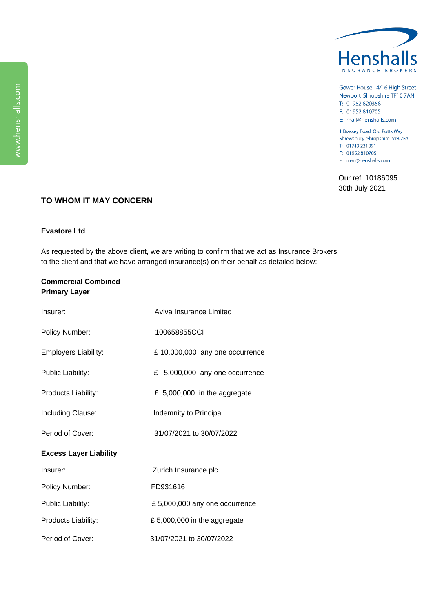

Gower House 14/16 High Street Newport Shropshire TF10 7AN T: 01952 820358

F: 01952 810705

E: mail@henshalls.com

1 Brassey Road Old Potts Way Shrewsbury Shropshire SY3 7FA T: 01743 231091 F: 01952 810705 E: mail@henshalls.com

Our ref. 10186095 30th July 2021

## **TO WHOM IT MAY CONCERN**

## **Evastore Ltd**

As requested by the above client, we are writing to confirm that we act as Insurance Brokers to the client and that we have arranged insurance(s) on their behalf as detailed below:

## **Commercial Combined Primary Layer**

| Insurer:                      | Aviva Insurance Limited        |
|-------------------------------|--------------------------------|
| Policy Number:                | 100658855CCI                   |
| <b>Employers Liability:</b>   | £10,000,000 any one occurrence |
| Public Liability:             | £ 5,000,000 any one occurrence |
| Products Liability:           | £ 5,000,000 in the aggregate   |
| Including Clause:             | Indemnity to Principal         |
| Period of Cover:              | 31/07/2021 to 30/07/2022       |
| <b>Excess Layer Liability</b> |                                |
| Insurer:                      | Zurich Insurance plc           |
| Policy Number:                | FD931616                       |
| Public Liability:             | £5,000,000 any one occurrence  |
| Products Liability:           | £5,000,000 in the aggregate    |
| Period of Cover:              | 31/07/2021 to 30/07/2022       |